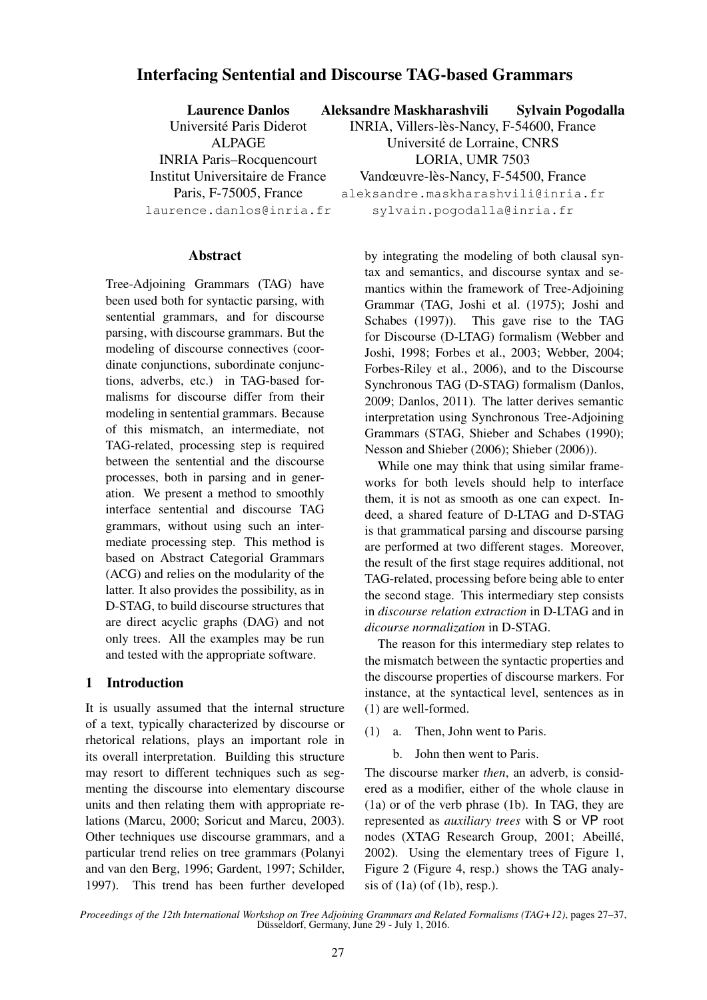# Interfacing Sentential and Discourse TAG-based Grammars

| <b>Laurence Danlos</b>           | Aleksandre Maskharashvili                 | <b>Sylvain Pogodalla</b> |
|----------------------------------|-------------------------------------------|--------------------------|
| Université Paris Diderot         | INRIA, Villers-lès-Nancy, F-54600, France |                          |
| <b>ALPAGE</b>                    | Université de Lorraine, CNRS              |                          |
| <b>INRIA Paris-Rocquencourt</b>  | LORIA, UMR 7503                           |                          |
| Institut Universitaire de France | Vandœuvre-lès-Nancy, F-54500, France      |                          |
| Paris, F-75005, France           | aleksandre.maskharashvili@inria.fr        |                          |
| laurence.danlos@inria.fr         | sylvain.pogodalla@inria.fr                |                          |
|                                  |                                           |                          |

#### Abstract

Tree-Adjoining Grammars (TAG) have been used both for syntactic parsing, with sentential grammars, and for discourse parsing, with discourse grammars. But the modeling of discourse connectives (coordinate conjunctions, subordinate conjunctions, adverbs, etc.) in TAG-based formalisms for discourse differ from their modeling in sentential grammars. Because of this mismatch, an intermediate, not TAG-related, processing step is required between the sentential and the discourse processes, both in parsing and in generation. We present a method to smoothly interface sentential and discourse TAG grammars, without using such an intermediate processing step. This method is based on Abstract Categorial Grammars (ACG) and relies on the modularity of the latter. It also provides the possibility, as in D-STAG, to build discourse structures that are direct acyclic graphs (DAG) and not only trees. All the examples may be run and tested with the appropriate software.

# 1 Introduction

It is usually assumed that the internal structure of a text, typically characterized by discourse or rhetorical relations, plays an important role in its overall interpretation. Building this structure may resort to different techniques such as segmenting the discourse into elementary discourse units and then relating them with appropriate relations (Marcu, 2000; Soricut and Marcu, 2003). Other techniques use discourse grammars, and a particular trend relies on tree grammars (Polanyi and van den Berg, 1996; Gardent, 1997; Schilder, 1997). This trend has been further developed by integrating the modeling of both clausal syntax and semantics, and discourse syntax and semantics within the framework of Tree-Adjoining Grammar (TAG, Joshi et al. (1975); Joshi and Schabes (1997)). This gave rise to the TAG for Discourse (D-LTAG) formalism (Webber and Joshi, 1998; Forbes et al., 2003; Webber, 2004; Forbes-Riley et al., 2006), and to the Discourse Synchronous TAG (D-STAG) formalism (Danlos, 2009; Danlos, 2011). The latter derives semantic interpretation using Synchronous Tree-Adjoining Grammars (STAG, Shieber and Schabes (1990); Nesson and Shieber (2006); Shieber (2006)).

While one may think that using similar frameworks for both levels should help to interface them, it is not as smooth as one can expect. Indeed, a shared feature of D-LTAG and D-STAG is that grammatical parsing and discourse parsing are performed at two different stages. Moreover, the result of the first stage requires additional, not TAG-related, processing before being able to enter the second stage. This intermediary step consists in *discourse relation extraction* in D-LTAG and in *dicourse normalization* in D-STAG.

The reason for this intermediary step relates to the mismatch between the syntactic properties and the discourse properties of discourse markers. For instance, at the syntactical level, sentences as in (1) are well-formed.

- (1) a. Then, John went to Paris.
	- b. John then went to Paris.

The discourse marker *then*, an adverb, is considered as a modifier, either of the whole clause in (1a) or of the verb phrase (1b). In TAG, they are represented as *auxiliary trees* with S or VP root nodes (XTAG Research Group, 2001; Abeillé, 2002). Using the elementary trees of Figure 1, Figure 2 (Figure 4, resp.) shows the TAG analysis of  $(1a)$  (of  $(1b)$ , resp.).

*Proceedings of the 12th International Workshop on Tree Adjoining Grammars and Related Formalisms (TAG+12)*, pages 27–37, Düsseldorf, Germany, June 29 - July 1, 2016.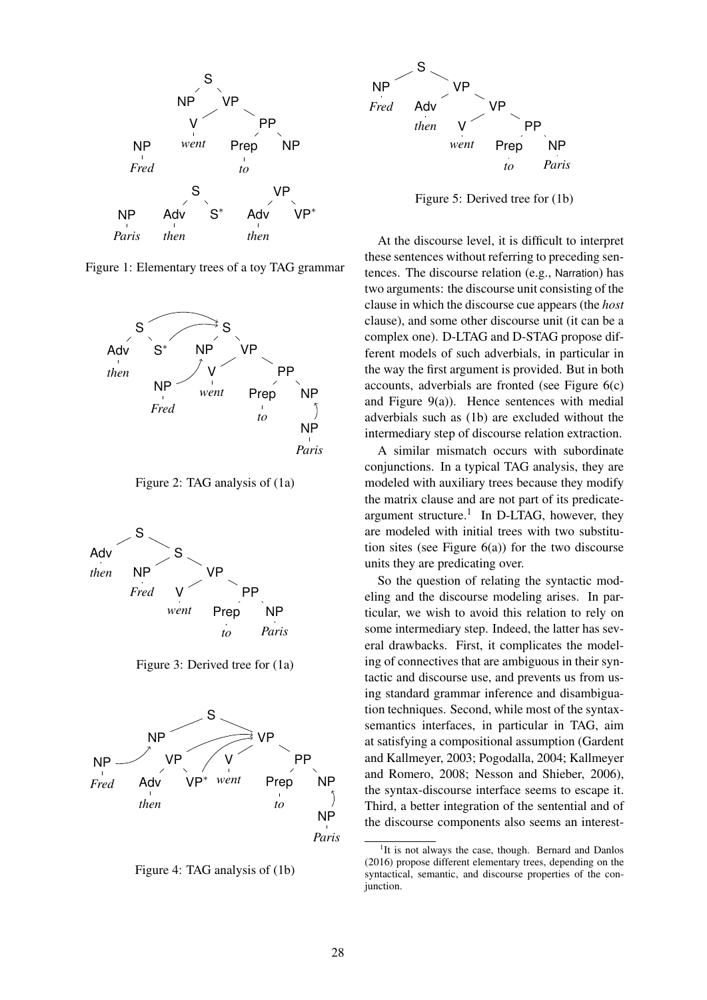

Figure 1: Elementary trees of a toy TAG grammar



Figure 2: TAG analysis of (1a)



Figure 3: Derived tree for (1a)



Figure 4: TAG analysis of (1b)



Figure 5: Derived tree for (1b)

At the discourse level, it is difficult to interpret these sentences without referring to preceding sentences. The discourse relation (e.g., Narration) has two arguments: the discourse unit consisting of the clause in which the discourse cue appears (the *host* clause), and some other discourse unit (it can be a complex one). D-LTAG and D-STAG propose different models of such adverbials, in particular in the way the first argument is provided. But in both accounts, adverbials are fronted (see Figure 6(c) and Figure 9(a)). Hence sentences with medial adverbials such as (1b) are excluded without the intermediary step of discourse relation extraction.

A similar mismatch occurs with subordinate conjunctions. In a typical TAG analysis, they are modeled with auxiliary trees because they modify the matrix clause and are not part of its predicateargument structure.<sup>1</sup> In D-LTAG, however, they are modeled with initial trees with two substitution sites (see Figure  $6(a)$ ) for the two discourse units they are predicating over.

So the question of relating the syntactic modeling and the discourse modeling arises. In particular, we wish to avoid this relation to rely on some intermediary step. Indeed, the latter has several drawbacks. First, it complicates the modeling of connectives that are ambiguous in their syntactic and discourse use, and prevents us from using standard grammar inference and disambiguation techniques. Second, while most of the syntaxsemantics interfaces, in particular in TAG, aim at satisfying a compositional assumption (Gardent and Kallmeyer, 2003; Pogodalla, 2004; Kallmeyer and Romero, 2008; Nesson and Shieber, 2006), the syntax-discourse interface seems to escape it. Third, a better integration of the sentential and of the discourse components also seems an interest-

<sup>&</sup>lt;sup>1</sup>It is not always the case, though. Bernard and Danlos (2016) propose different elementary trees, depending on the syntactical, semantic, and discourse properties of the conjunction.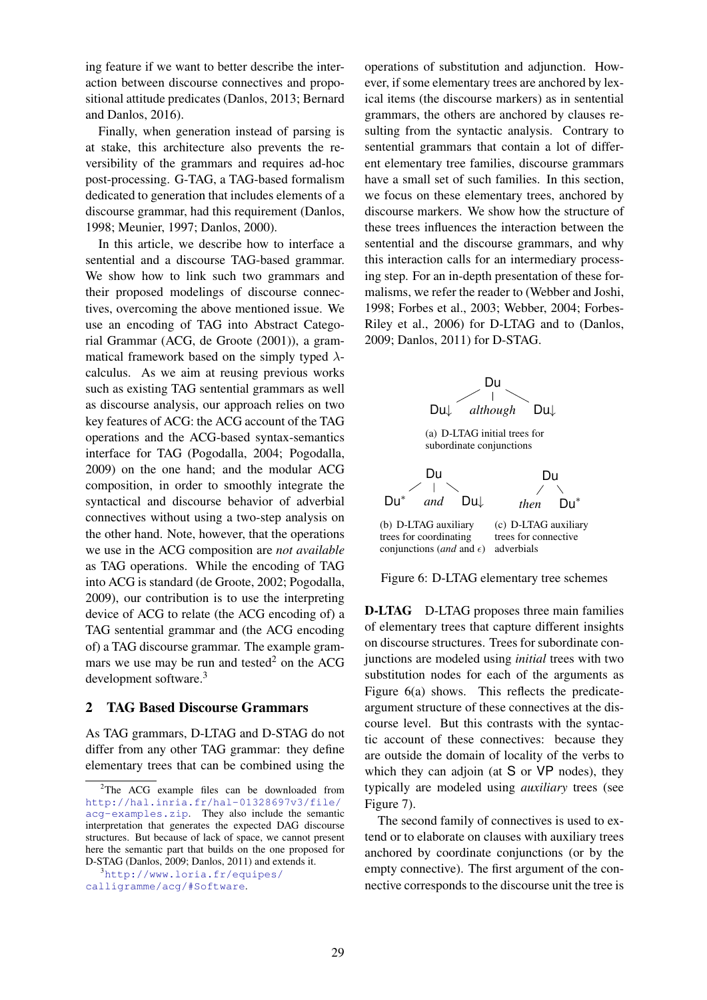ing feature if we want to better describe the interaction between discourse connectives and propositional attitude predicates (Danlos, 2013; Bernard and Danlos, 2016).

Finally, when generation instead of parsing is at stake, this architecture also prevents the reversibility of the grammars and requires ad-hoc post-processing. G-TAG, a TAG-based formalism dedicated to generation that includes elements of a discourse grammar, had this requirement (Danlos, 1998; Meunier, 1997; Danlos, 2000).

In this article, we describe how to interface a sentential and a discourse TAG-based grammar. We show how to link such two grammars and their proposed modelings of discourse connectives, overcoming the above mentioned issue. We use an encoding of TAG into Abstract Categorial Grammar (ACG, de Groote (2001)), a grammatical framework based on the simply typed  $\lambda$ calculus. As we aim at reusing previous works such as existing TAG sentential grammars as well as discourse analysis, our approach relies on two key features of ACG: the ACG account of the TAG operations and the ACG-based syntax-semantics interface for TAG (Pogodalla, 2004; Pogodalla, 2009) on the one hand; and the modular ACG composition, in order to smoothly integrate the syntactical and discourse behavior of adverbial connectives without using a two-step analysis on the other hand. Note, however, that the operations we use in the ACG composition are *not available* as TAG operations. While the encoding of TAG into ACG is standard (de Groote, 2002; Pogodalla, 2009), our contribution is to use the interpreting device of ACG to relate (the ACG encoding of) a TAG sentential grammar and (the ACG encoding of) a TAG discourse grammar. The example grammars we use may be run and tested<sup>2</sup> on the ACG development software.<sup>3</sup>

# 2 TAG Based Discourse Grammars

As TAG grammars, D-LTAG and D-STAG do not differ from any other TAG grammar: they define elementary trees that can be combined using the

operations of substitution and adjunction. However, if some elementary trees are anchored by lexical items (the discourse markers) as in sentential grammars, the others are anchored by clauses resulting from the syntactic analysis. Contrary to sentential grammars that contain a lot of different elementary tree families, discourse grammars have a small set of such families. In this section, we focus on these elementary trees, anchored by discourse markers. We show how the structure of these trees influences the interaction between the sentential and the discourse grammars, and why this interaction calls for an intermediary processing step. For an in-depth presentation of these formalisms, we refer the reader to (Webber and Joshi, 1998; Forbes et al., 2003; Webber, 2004; Forbes-Riley et al., 2006) for D-LTAG and to (Danlos, 2009; Danlos, 2011) for D-STAG.





D-LTAG D-LTAG proposes three main families of elementary trees that capture different insights on discourse structures. Trees for subordinate conjunctions are modeled using *initial* trees with two substitution nodes for each of the arguments as Figure 6(a) shows. This reflects the predicateargument structure of these connectives at the discourse level. But this contrasts with the syntactic account of these connectives: because they are outside the domain of locality of the verbs to which they can adjoin (at S or VP nodes), they typically are modeled using *auxiliary* trees (see Figure 7).

The second family of connectives is used to extend or to elaborate on clauses with auxiliary trees anchored by coordinate conjunctions (or by the empty connective). The first argument of the connective corresponds to the discourse unit the tree is

 $2$ The ACG example files can be downloaded from http://hal.inria.fr/hal-01328697v3/file/ acg-examples.zip. They also include the semantic interpretation that generates the expected DAG discourse structures. But because of lack of space, we cannot present here the semantic part that builds on the one proposed for D-STAG (Danlos, 2009; Danlos, 2011) and extends it.

<sup>3</sup>http://www.loria.fr/equipes/ calligramme/acg/#Software.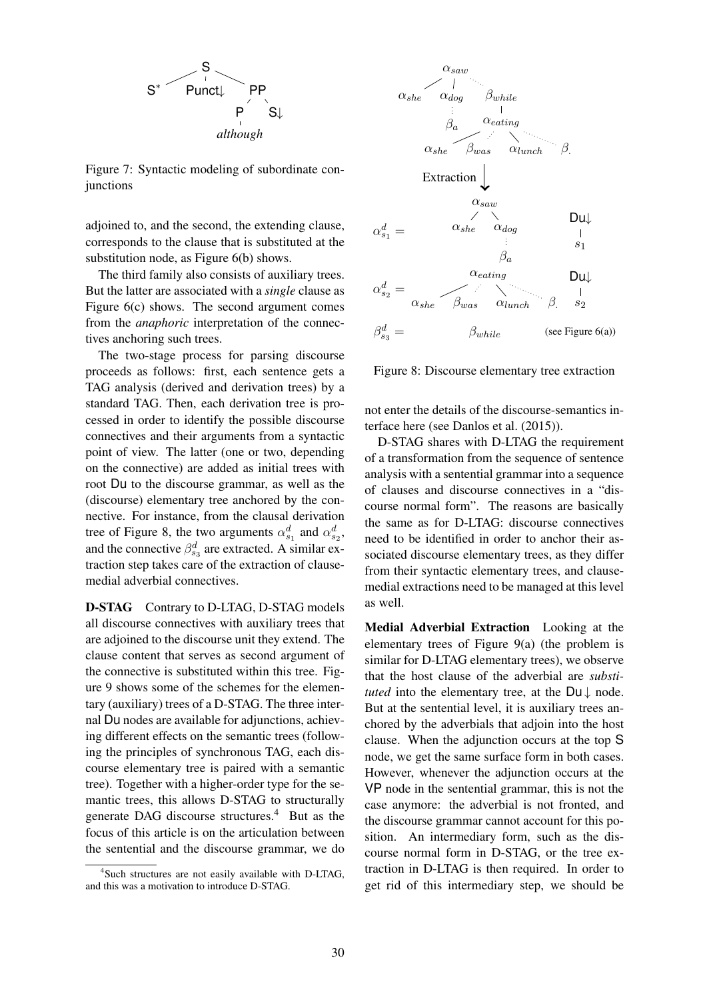

Figure 7: Syntactic modeling of subordinate conjunctions

adjoined to, and the second, the extending clause, corresponds to the clause that is substituted at the substitution node, as Figure 6(b) shows.

The third family also consists of auxiliary trees. But the latter are associated with a *single* clause as Figure 6(c) shows. The second argument comes from the *anaphoric* interpretation of the connectives anchoring such trees.

The two-stage process for parsing discourse proceeds as follows: first, each sentence gets a TAG analysis (derived and derivation trees) by a standard TAG. Then, each derivation tree is processed in order to identify the possible discourse connectives and their arguments from a syntactic point of view. The latter (one or two, depending on the connective) are added as initial trees with root Du to the discourse grammar, as well as the (discourse) elementary tree anchored by the connective. For instance, from the clausal derivation tree of Figure 8, the two arguments  $\alpha_{s_1}^d$  and  $\alpha_{s_2}^d$ , and the connective  $\beta_{s_3}^d$  are extracted. A similar extraction step takes care of the extraction of clausemedial adverbial connectives.

D-STAG Contrary to D-LTAG, D-STAG models all discourse connectives with auxiliary trees that are adjoined to the discourse unit they extend. The clause content that serves as second argument of the connective is substituted within this tree. Figure 9 shows some of the schemes for the elementary (auxiliary) trees of a D-STAG. The three internal Du nodes are available for adjunctions, achieving different effects on the semantic trees (following the principles of synchronous TAG, each discourse elementary tree is paired with a semantic tree). Together with a higher-order type for the semantic trees, this allows D-STAG to structurally generate DAG discourse structures.<sup>4</sup> But as the focus of this article is on the articulation between the sentential and the discourse grammar, we do



Figure 8: Discourse elementary tree extraction

not enter the details of the discourse-semantics interface here (see Danlos et al. (2015)).

D-STAG shares with D-LTAG the requirement of a transformation from the sequence of sentence analysis with a sentential grammar into a sequence of clauses and discourse connectives in a "discourse normal form". The reasons are basically the same as for D-LTAG: discourse connectives need to be identified in order to anchor their associated discourse elementary trees, as they differ from their syntactic elementary trees, and clausemedial extractions need to be managed at this level as well.

Medial Adverbial Extraction Looking at the elementary trees of Figure 9(a) (the problem is similar for D-LTAG elementary trees), we observe that the host clause of the adverbial are *substituted* into the elementary tree, at the  $Du \downarrow$  node. But at the sentential level, it is auxiliary trees anchored by the adverbials that adjoin into the host clause. When the adjunction occurs at the top S node, we get the same surface form in both cases. However, whenever the adjunction occurs at the VP node in the sentential grammar, this is not the case anymore: the adverbial is not fronted, and the discourse grammar cannot account for this position. An intermediary form, such as the discourse normal form in D-STAG, or the tree extraction in D-LTAG is then required. In order to get rid of this intermediary step, we should be

<sup>4</sup> Such structures are not easily available with D-LTAG, and this was a motivation to introduce D-STAG.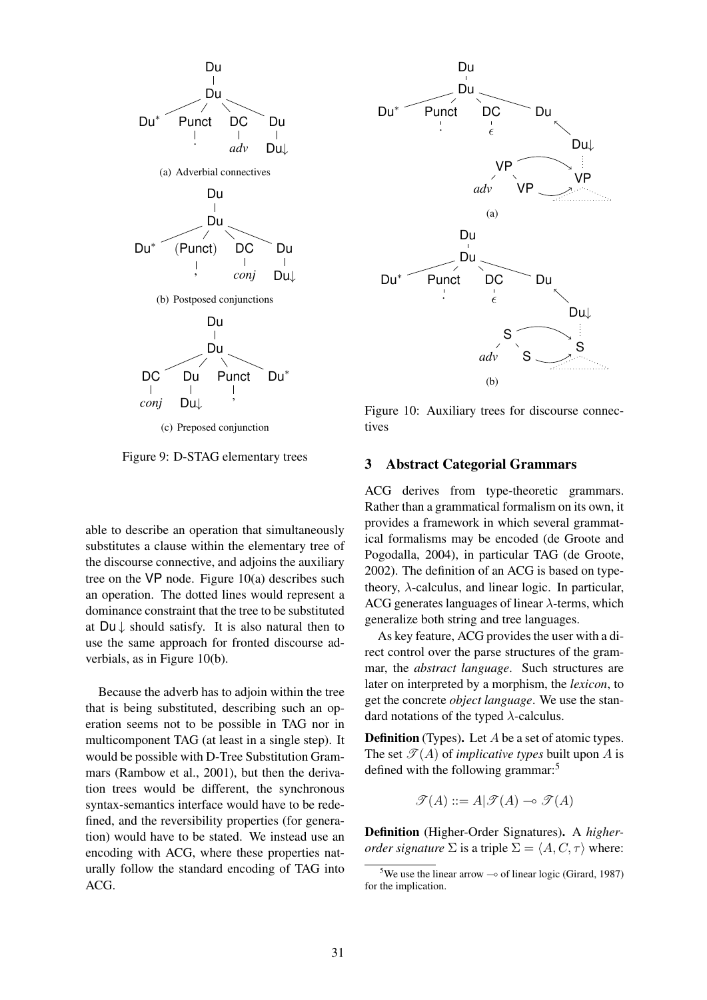

Figure 9: D-STAG elementary trees

able to describe an operation that simultaneously substitutes a clause within the elementary tree of the discourse connective, and adjoins the auxiliary tree on the VP node. Figure 10(a) describes such an operation. The dotted lines would represent a dominance constraint that the tree to be substituted at  $Du \downarrow$  should satisfy. It is also natural then to use the same approach for fronted discourse adverbials, as in Figure 10(b).

Because the adverb has to adjoin within the tree that is being substituted, describing such an operation seems not to be possible in TAG nor in multicomponent TAG (at least in a single step). It would be possible with D-Tree Substitution Grammars (Rambow et al., 2001), but then the derivation trees would be different, the synchronous syntax-semantics interface would have to be redefined, and the reversibility properties (for generation) would have to be stated. We instead use an encoding with ACG, where these properties naturally follow the standard encoding of TAG into ACG.



Figure 10: Auxiliary trees for discourse connectives

## 3 Abstract Categorial Grammars

ACG derives from type-theoretic grammars. Rather than a grammatical formalism on its own, it provides a framework in which several grammatical formalisms may be encoded (de Groote and Pogodalla, 2004), in particular TAG (de Groote, 2002). The definition of an ACG is based on typetheory,  $\lambda$ -calculus, and linear logic. In particular, ACG generates languages of linear  $\lambda$ -terms, which generalize both string and tree languages.

As key feature, ACG provides the user with a direct control over the parse structures of the grammar, the *abstract language*. Such structures are later on interpreted by a morphism, the *lexicon*, to get the concrete *object language*. We use the standard notations of the typed  $\lambda$ -calculus.

**Definition** (Types). Let A be a set of atomic types. The set  $\mathcal{T}(A)$  of *implicative types* built upon A is defined with the following grammar:<sup>5</sup>

$$
\mathcal{T}(A) ::= A | \mathcal{T}(A) \multimap \mathcal{T}(A)
$$

Definition (Higher-Order Signatures). A *higherorder signature*  $\Sigma$  is a triple  $\Sigma = \langle A, C, \tau \rangle$  where:

<sup>&</sup>lt;sup>5</sup>We use the linear arrow  $\sim$  of linear logic (Girard, 1987) for the implication.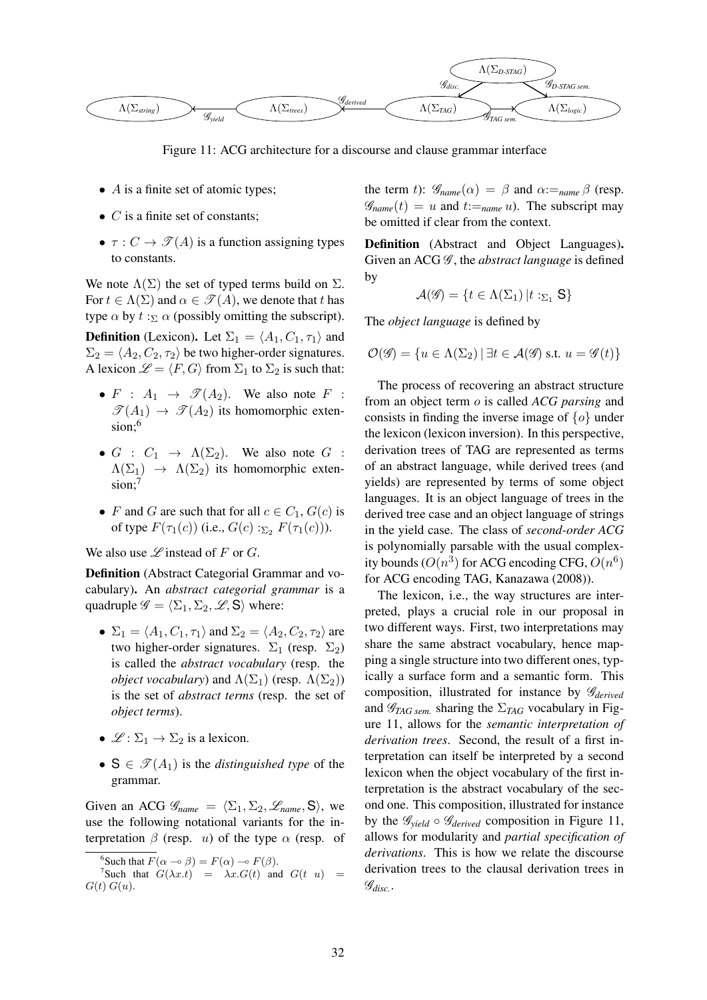

Figure 11: ACG architecture for a discourse and clause grammar interface

- $\overline{A}$  is a finite set of atomic types;
- $C$  is a finite set of constants:
- $\tau: C \to \mathscr{T}(A)$  is a function assigning types to constants.

We note  $\Lambda(\Sigma)$  the set of typed terms build on  $\Sigma$ . For  $t \in \Lambda(\Sigma)$  and  $\alpha \in \mathcal{T}(A)$ , we denote that t has type  $\alpha$  by  $t : \Sigma \alpha$  (possibly omitting the subscript).

**Definition** (Lexicon). Let  $\Sigma_1 = \langle A_1, C_1, \tau_1 \rangle$  and  $\Sigma_2 = \langle A_2, C_2, \tau_2 \rangle$  be two higher-order signatures. A lexicon  $\mathcal{L} = \langle F, G \rangle$  from  $\Sigma_1$  to  $\Sigma_2$  is such that:

- $F : A_1 \rightarrow \mathcal{I}(A_2)$ . We also note  $F :$  $\mathscr{T}(A_1) \rightarrow \mathscr{T}(A_2)$  its homomorphic extension:<sup>6</sup>
- $G : C_1 \rightarrow \Lambda(\Sigma_2)$ . We also note  $G :$  $\Lambda(\Sigma_1) \rightarrow \Lambda(\Sigma_2)$  its homomorphic extension:<sup>7</sup>
- F and G are such that for all  $c \in C_1$ ,  $G(c)$  is of type  $F(\tau_1(c))$  (i.e.,  $G(c) :=_{\Sigma_2} F(\tau_1(c))$ ).

We also use  $\mathscr L$  instead of F or G.

Definition (Abstract Categorial Grammar and vocabulary). An *abstract categorial grammar* is a quadruple  $\mathscr{G} = \langle \Sigma_1, \Sigma_2, \mathscr{L}, \mathsf{S} \rangle$  where:

- $\Sigma_1 = \langle A_1, C_1, \tau_1 \rangle$  and  $\Sigma_2 = \langle A_2, C_2, \tau_2 \rangle$  are two higher-order signatures.  $\Sigma_1$  (resp.  $\Sigma_2$ ) is called the *abstract vocabulary* (resp. the *object vocabulary*) and  $\Lambda(\Sigma_1)$  (resp.  $\Lambda(\Sigma_2)$ ) is the set of *abstract terms* (resp. the set of *object terms*).
- $\mathscr{L}: \Sigma_1 \to \Sigma_2$  is a lexicon.
- $S \in \mathcal{T}(A_1)$  is the *distinguished type* of the grammar.

Given an ACG  $\mathscr{G}_{name} = \langle \Sigma_1, \Sigma_2, \mathscr{L}_{name}, S \rangle$ , we use the following notational variants for the interpretation  $\beta$  (resp. *u*) of the type  $\alpha$  (resp. of the term t):  $\mathscr{G}_{name}(\alpha) = \beta$  and  $\alpha :=_{name} \beta$  (resp.  $\mathscr{G}_{name}(t) = u$  and  $t :=_{name} u$ ). The subscript may be omitted if clear from the context.

Definition (Abstract and Object Languages). Given an ACG  $\mathscr G$ , the *abstract language* is defined by

$$
\mathcal{A}(\mathcal{G}) = \{ t \in \Lambda(\Sigma_1) | t :_{\Sigma_1} S \}
$$

The *object language* is defined by

$$
\mathcal{O}(\mathscr{G}) = \{ u \in \Lambda(\Sigma_2) \, | \, \exists t \in \mathcal{A}(\mathscr{G}) \text{ s.t. } u = \mathscr{G}(t) \}
$$

The process of recovering an abstract structure from an object term o is called *ACG parsing* and consists in finding the inverse image of  $\{o\}$  under the lexicon (lexicon inversion). In this perspective, derivation trees of TAG are represented as terms of an abstract language, while derived trees (and yields) are represented by terms of some object languages. It is an object language of trees in the derived tree case and an object language of strings in the yield case. The class of *second-order ACG* is polynomially parsable with the usual complexity bounds  $(O(n^3))$  for ACG encoding CFG,  $O(n^6)$ for ACG encoding TAG, Kanazawa (2008)).

The lexicon, i.e., the way structures are interpreted, plays a crucial role in our proposal in two different ways. First, two interpretations may share the same abstract vocabulary, hence mapping a single structure into two different ones, typically a surface form and a semantic form. This composition, illustrated for instance by G*derived* and  $\mathcal{G}_{TAG,sem.}$  sharing the  $\Sigma_{TAG}$  vocabulary in Figure 11, allows for the *semantic interpretation of derivation trees*. Second, the result of a first interpretation can itself be interpreted by a second lexicon when the object vocabulary of the first interpretation is the abstract vocabulary of the second one. This composition, illustrated for instance by the  $\mathscr{G}_{yield} \circ \mathscr{G}_{derived}$  composition in Figure 11, allows for modularity and *partial specification of derivations*. This is how we relate the discourse derivation trees to the clausal derivation trees in G*disc.*.

<sup>&</sup>lt;sup>6</sup>Such that  $F(\alpha \to \beta) = F(\alpha) \to F(\beta)$ .

<sup>&</sup>lt;sup>7</sup>Such that  $G(\lambda x.t) = \lambda x.G(t)$  and  $G(t u) =$  $G(t) G(u)$ .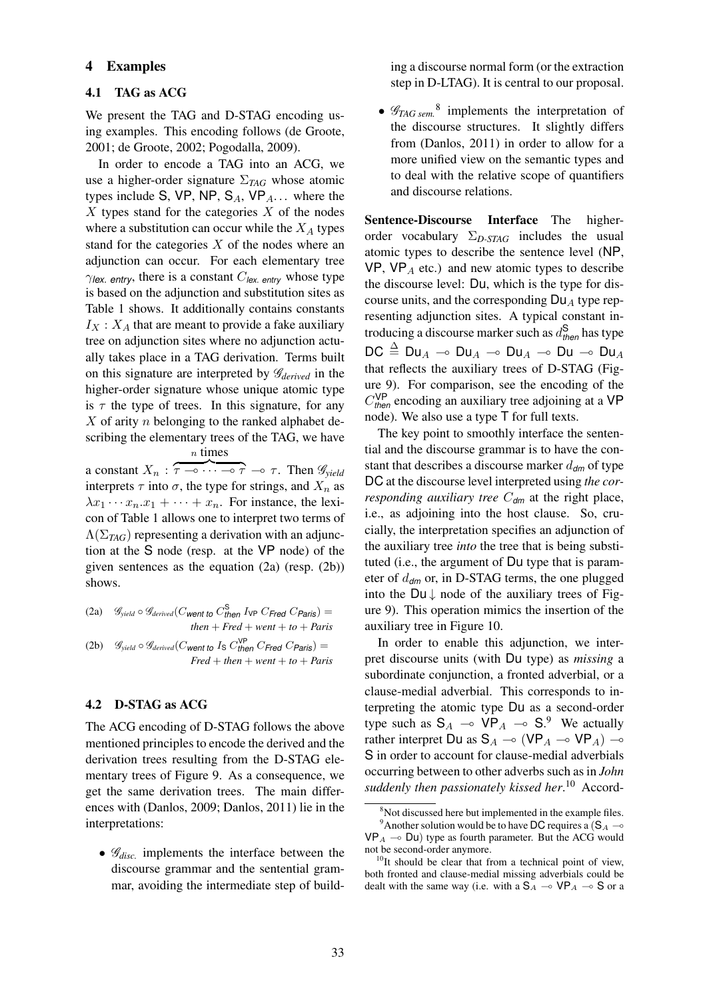## 4 Examples

#### 4.1 TAG as ACG

We present the TAG and D-STAG encoding using examples. This encoding follows (de Groote, 2001; de Groote, 2002; Pogodalla, 2009).

In order to encode a TAG into an ACG, we use a higher-order signature Σ*TAG* whose atomic types include S, VP, NP,  $S_A$ , VP<sub>A</sub>... where the  $X$  types stand for the categories  $X$  of the nodes where a substitution can occur while the  $X_A$  types stand for the categories  $X$  of the nodes where an adjunction can occur. For each elementary tree  $\gamma$ *lex. entry*, there is a constant  $C_{\text{lex. entry}}$  whose type is based on the adjunction and substitution sites as Table 1 shows. It additionally contains constants  $I_X$ :  $X_A$  that are meant to provide a fake auxiliary tree on adjunction sites where no adjunction actually takes place in a TAG derivation. Terms built on this signature are interpreted by G*derived* in the higher-order signature whose unique atomic type is  $\tau$  the type of trees. In this signature, for any  $X$  of arity  $n$  belonging to the ranked alphabet describing the elementary trees of the TAG, we have n times

a constant  $X_n : \widetilde{\tau \to \cdots \to \tau} \to \tau$ . Then  $\mathscr{G}_{yield}$ interprets  $\tau$  into  $\sigma$ , the type for strings, and  $X_n$  as  $\lambda x_1 \cdots x_n \cdot x_1 + \cdots + x_n$ . For instance, the lexicon of Table 1 allows one to interpret two terms of  $\Lambda(\Sigma_{TAG})$  representing a derivation with an adjunction at the S node (resp. at the VP node) of the given sentences as the equation (2a) (resp. (2b)) shows.

(2a)  $\mathscr{G}_{yield} \circ \mathscr{G}_{derived}(C_{\text{went to }} C_{\text{then}}^{\text{S}} I_{\text{VP}} C_{\text{Fred}} C_{\text{Paris}}) =$  $then + Fred + went + to + Paris$ (2b)  $\mathscr{G}_{yield} \circ \mathscr{G}_{derived}(C_{went\ to\ Is\ C_{then}^{VP} C_{Fred} C_{Paris}) =$  $Fred + then + went + to + Paris$ 

#### 4.2 D-STAG as ACG

The ACG encoding of D-STAG follows the above mentioned principles to encode the derived and the derivation trees resulting from the D-STAG elementary trees of Figure 9. As a consequence, we get the same derivation trees. The main differences with (Danlos, 2009; Danlos, 2011) lie in the interpretations:

•  $\mathscr{G}_{disc.}$  implements the interface between the discourse grammar and the sentential grammar, avoiding the intermediate step of building a discourse normal form (or the extraction step in D-LTAG). It is central to our proposal.

•  $\mathscr{G}_{TAG\,sem.}$ <sup>8</sup> implements the interpretation of the discourse structures. It slightly differs from (Danlos, 2011) in order to allow for a more unified view on the semantic types and to deal with the relative scope of quantifiers and discourse relations.

Sentence-Discourse Interface The higherorder vocabulary Σ*D-STAG* includes the usual atomic types to describe the sentence level (NP,  $VP$ ,  $VP_A$  etc.) and new atomic types to describe the discourse level: Du, which is the type for discourse units, and the corresponding  $Du<sub>A</sub>$  type representing adjunction sites. A typical constant introducing a discourse marker such as d S *then* has type  $DC \triangleq Du_A \multimap Du_A \multimap Du_A \multimap Du \multimap Du_A$ that reflects the auxiliary trees of D-STAG (Figure 9). For comparison, see the encoding of the  $C_{\text{then}}^{\text{VP}}$  encoding an auxiliary tree adjoining at a VP node). We also use a type T for full texts.

The key point to smoothly interface the sentential and the discourse grammar is to have the constant that describes a discourse marker  $d_{dm}$  of type DC at the discourse level interpreted using *the corresponding auxiliary tree*  $C_{dm}$  at the right place, i.e., as adjoining into the host clause. So, crucially, the interpretation specifies an adjunction of the auxiliary tree *into* the tree that is being substituted (i.e., the argument of Du type that is parameter of d*dm* or, in D-STAG terms, the one plugged into the  $Du \downarrow$  node of the auxiliary trees of Figure 9). This operation mimics the insertion of the auxiliary tree in Figure 10.

In order to enable this adjunction, we interpret discourse units (with Du type) as *missing* a subordinate conjunction, a fronted adverbial, or a clause-medial adverbial. This corresponds to interpreting the atomic type Du as a second-order type such as  $S_A \sim VP_A \sim S$ .<sup>9</sup> We actually rather interpret Du as  $S_A \sim (VP_A \sim VP_A) \sim$ S in order to account for clause-medial adverbials occurring between to other adverbs such as in *John suddenly then passionately kissed her*. <sup>10</sup> Accord-

<sup>&</sup>lt;sup>8</sup>Not discussed here but implemented in the example files. <sup>9</sup>Another solution would be to have DC requires a (S<sub>A</sub>  $\sim$  $VP_A \rightarrow Du$ ) type as fourth parameter. But the ACG would not be second-order anymore.

 $10$ It should be clear that from a technical point of view, both fronted and clause-medial missing adverbials could be dealt with the same way (i.e. with a  $S_A \sim VP_A \sim S$  or a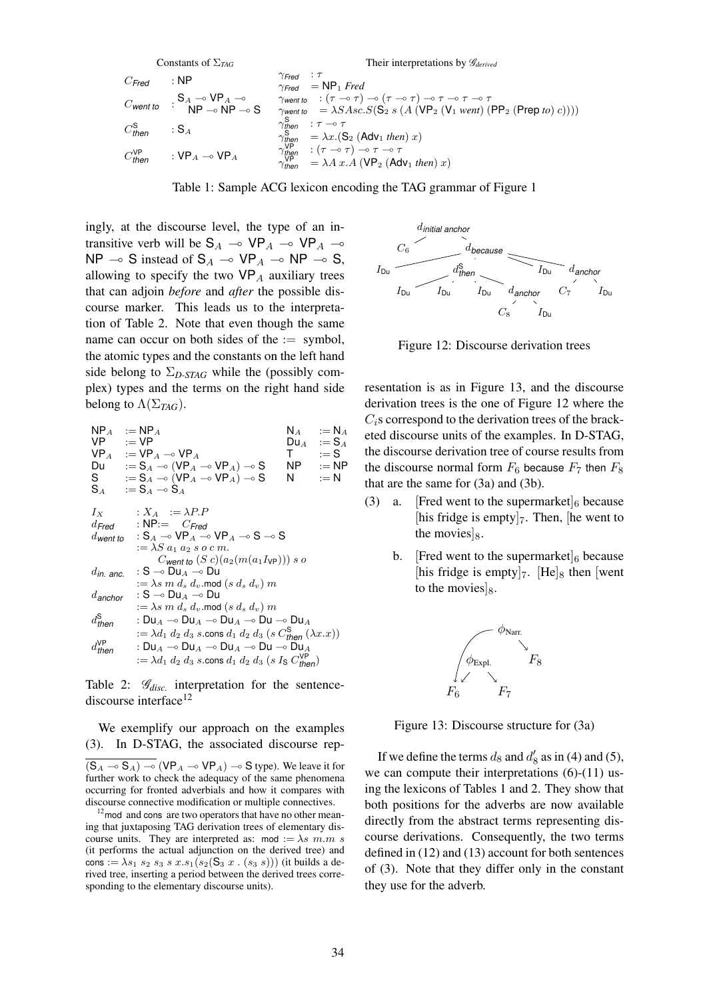| Constraints of $\Sigma_{TAG}$ | Their interpretations by $\mathcal{G}_{derived}$                  |                                                                  |                                                                                                                    |
|-------------------------------|-------------------------------------------------------------------|------------------------------------------------------------------|--------------------------------------------------------------------------------------------------------------------|
| $C_{Fred}$                    | : NP                                                              | $\gamma_{Fred}$                                                  | : $\tau$                                                                                                           |
| $C_{Went to}$                 | : $\mathbf{S}_A \rightarrow \mathbf{VP}_A \rightarrow \mathbf{S}$ | $\gamma_{Went to}$                                               | : $(\tau \rightarrow \tau) \rightarrow (\tau \rightarrow \tau) \rightarrow \tau \rightarrow \tau \rightarrow \tau$ |
| $C_{Went to}$                 | : NP \rightarrow NP \rightarrow S                                 | $\gamma_{Went to}$                                               | = $\lambda SAsc.S(S_2 s (A (VP_2 (V_1 went) (PP_2 (Prep to) c))))$                                                 |
| $C_{then}^S$                  | : SA                                                              | $\gamma_{then}^S$                                                | : $\tau \rightarrow \tau$                                                                                          |
| $\gamma_{then}^S$             | : $\tau \rightarrow \tau$                                         |                                                                  |                                                                                                                    |
| $\gamma_{then}^S$             | : $\mathbf{S}_A$                                                  | $\gamma_{then}^S$                                                | : $(\tau \rightarrow \tau) \rightarrow \tau \rightarrow \tau$                                                      |
| $C_{then}^S$                  | : VP_A \rightarrow VP_A                                           | $\gamma_{then}^{\text{V}} = \lambda A x.A (VP_2 (Adv_1 then) x)$ |                                                                                                                    |

Table 1: Sample ACG lexicon encoding the TAG grammar of Figure 1

ingly, at the discourse level, the type of an intransitive verb will be  $S_A \sim VP_A \sim VP_A \sim$ NP  $\sim$  S instead of S<sub>A</sub>  $\sim$  VP<sub>A</sub>  $\sim$  NP  $\sim$  S, allowing to specify the two  $VP_A$  auxiliary trees that can adjoin *before* and *after* the possible discourse marker. This leads us to the interpretation of Table 2. Note that even though the same name can occur on both sides of the  $:=$  symbol. the atomic types and the constants on the left hand side belong to  $\Sigma_{D\text{-}STAG}$  while the (possibly complex) types and the terms on the right hand side belong to  $\Lambda(\Sigma_{TAG})$ .

NP  
\nNP  
\n
$$
\begin{array}{ll}\n\text{NP} & := \text{NP} & \text{N}_A & := \text{N}_A \\
\text{VP} & := \text{VP} & \text{D}u & \text{I} & := \text{S}_A \\
\text{Du} & := \text{S}_A \rightarrow (\text{VP}_A \rightarrow \text{VP}_A) \rightarrow \text{S} & \text{NP} & := \text{NP} \\
\text{S} & := \text{S}_A \rightarrow (\text{VP}_A \rightarrow \text{VP}_A) \rightarrow \text{S} & \text{N} & := \text{NP} \\
\text{S} & := \text{S}_A \rightarrow \text{S}_A & \\
 & := \text{S}_A \rightarrow \text{S}_A & \\
I_X & : X_A & := \lambda P.P \\
\text{d} \text{Fred} & : \text{NP} := \text{C} \text{Fred} \\
d \text{went to} & : \text{S}_A \rightarrow \text{VP}_A \rightarrow \text{VP}_A \rightarrow \text{S} \rightarrow \text{S} \\
 & := \lambda S a_1 a_2 s \text{ o } c \text{ m}. & \\
& \text{Cvent to } (S \text{ c})(a_2 (m(a_1 I_{\text{VP}}))) \text{ s } o \\
d \text{in.} & \text{anc.} & : \text{S} \rightarrow \text{D}u_A \rightarrow \text{D}u \\
 & := \lambda s \text{ m } d_s d_v \text{ .mod} (s d_s d_v) \text{ m} \\
d \text{anchor} & : \text{S} \rightarrow \text{D}u_A \rightarrow \text{D}u \\
 & := \lambda s \text{ m } d_s d_v \text{ .mod} (s d_s d_v) \text{ m} \\
d \text{then} & : \text{D}u_A \rightarrow \text{D}u_A \rightarrow \text{D}u \rightarrow \text{D}u \rightarrow \text{D}u_A \\
 & := \lambda d_1 d_2 d_3 s \text{ .cons } d_1 d_2 d_3 (s \text{ C} \text{then } (\lambda x.x)) \\
d \text{then} & : \text{D}u_A \rightarrow \text{D}u_A \rightarrow \text{D}u \rightarrow \text{D}u \rightarrow \text{D}u \rightarrow \text{D}u \rightarrow \text{D}u \rightarrow \text{D}u \rightarrow \text{D}u \rightarrow \text{D}u \rightarrow \text{D}u \rightarrow \text{D}u \rightarrow \text{D}u \rightarrow \text{D}u \rightarrow \text{D}u \rightarrow \text{D}u \rightarrow \text{D}u \rightarrow \text{D}u \rightarrow
$$

Table 2:  $\mathcal{G}_{disc.}$  interpretation for the sentencediscourse interface $12$ 

We exemplify our approach on the examples (3). In D-STAG, the associated discourse rep-  $(S_A \sim S_A) \sim (VP_A \sim VP_A) \sim S$  type). We leave it for further work to check the adequacy of the same phenomena occurring for fronted adverbials and how it compares with discourse connective modification or multiple connectives.

 $12$  mod and cons are two operators that have no other meaning that juxtaposing TAG derivation trees of elementary discourse units. They are interpreted as: mod :=  $\lambda s$  m.m s (it performs the actual adjunction on the derived tree) and cons :=  $\lambda s_1 s_2 s_3 s x . s_1 (s_2 (S_3 x . (s_3 s)))$  (it builds a derived tree, inserting a period between the derived trees corresponding to the elementary discourse units).



Figure 12: Discourse derivation trees

resentation is as in Figure 13, and the discourse derivation trees is the one of Figure 12 where the  $C_i$ s correspond to the derivation trees of the bracketed discourse units of the examples. In D-STAG, the discourse derivation tree of course results from the discourse normal form  $F_6$  because  $F_7$  then  $F_8$ that are the same for (3a) and (3b).

- (3) a. [Fred went to the supermarket] $_6$  because [his fridge is empty] $_7$ . Then, [he went to the movies  $|_8$ .
	- b. [Fred went to the supermarket] $_6$  because [his fridge is empty] $7.$  [He] $_8$  then [went to the movies  $|_8$ .



Figure 13: Discourse structure for (3a)

If we define the terms  $d_8$  and  $d'_8$  as in (4) and (5), we can compute their interpretations (6)-(11) using the lexicons of Tables 1 and 2. They show that both positions for the adverbs are now available directly from the abstract terms representing discourse derivations. Consequently, the two terms defined in (12) and (13) account for both sentences of (3). Note that they differ only in the constant they use for the adverb.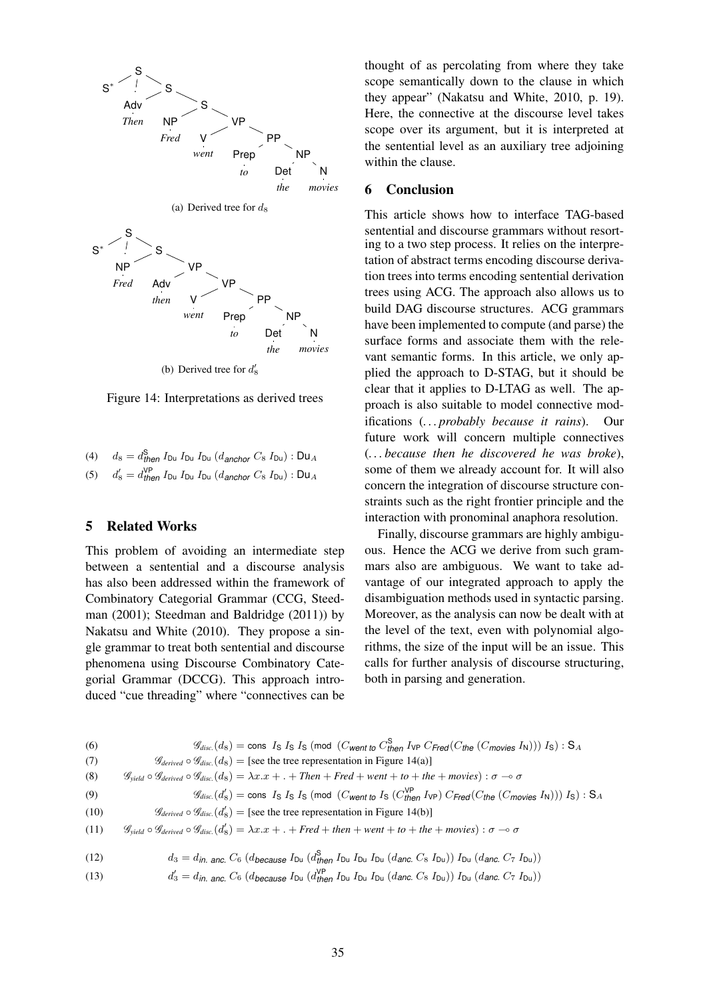

Figure 14: Interpretations as derived trees

| (4) $d_8 = d_{\text{then}}^S I_{\text{Du}} I_{\text{Du}} I_{\text{Du}} (d_{\text{anchor}} C_8 I_{\text{Du}}): \text{Du}_A$    |
|-------------------------------------------------------------------------------------------------------------------------------|
| (5) $d'_8 = d'_{\text{then}} I_{\text{Du}} I_{\text{Du}} I_{\text{Du}} (d_{\text{anchor}} C_8 I_{\text{Du}})$ : $\text{Du}_A$ |

## 5 Related Works

This problem of avoiding an intermediate step between a sentential and a discourse analysis has also been addressed within the framework of Combinatory Categorial Grammar (CCG, Steedman (2001); Steedman and Baldridge (2011)) by Nakatsu and White (2010). They propose a single grammar to treat both sentential and discourse phenomena using Discourse Combinatory Categorial Grammar (DCCG). This approach introduced "cue threading" where "connectives can be thought of as percolating from where they take scope semantically down to the clause in which they appear" (Nakatsu and White, 2010, p. 19). Here, the connective at the discourse level takes scope over its argument, but it is interpreted at the sentential level as an auxiliary tree adjoining within the clause.

## 6 Conclusion

This article shows how to interface TAG-based sentential and discourse grammars without resorting to a two step process. It relies on the interpretation of abstract terms encoding discourse derivation trees into terms encoding sentential derivation trees using ACG. The approach also allows us to build DAG discourse structures. ACG grammars have been implemented to compute (and parse) the surface forms and associate them with the relevant semantic forms. In this article, we only applied the approach to D-STAG, but it should be clear that it applies to D-LTAG as well. The approach is also suitable to model connective modifications (*. . . probably because it rains*). Our future work will concern multiple connectives (*. . . because then he discovered he was broke*), some of them we already account for. It will also concern the integration of discourse structure constraints such as the right frontier principle and the interaction with pronominal anaphora resolution.

Finally, discourse grammars are highly ambiguous. Hence the ACG we derive from such grammars also are ambiguous. We want to take advantage of our integrated approach to apply the disambiguation methods used in syntactic parsing. Moreover, as the analysis can now be dealt with at the level of the text, even with polynomial algorithms, the size of the input will be an issue. This calls for further analysis of discourse structuring, both in parsing and generation.

| (6)  | $\mathscr{G}_{disc.}(d_8) = \text{cons } I_S I_S I_S$ (mod (Cwent to $C_{\text{then}}^S I_{\text{VP}} C_{\text{Fred}} (C_{\text{the}} (C_{\text{movies}} I_N)) I_S)$ : S <sub>A</sub>                                           |
|------|---------------------------------------------------------------------------------------------------------------------------------------------------------------------------------------------------------------------------------|
| (7)  | $\mathscr{G}_{\text{derived}} \circ \mathscr{G}_{\text{disc}}(d_8) =$ [see the tree representation in Figure 14(a)]                                                                                                             |
| (8)  | $\mathscr{G}_{yield} \circ \mathscr{G}_{derived} \circ \mathscr{G}_{disc}(d_8) = \lambda x.x + . + Then + Fred + went + to + the + movies) : \sigma \rightarrow \sigma$                                                         |
| (9)  | $\mathscr{G}_{disc}(d'_{8}) = \text{cons } I_{S} I_{S} I_{S} \pmod{(C_{\text{went to }} I_{S} (C'^{\text{VP}}_{\text{then }} I_{\text{VP}}) C_{\text{Fred}}(C_{\text{the }} (C_{\text{movies }} I_{\text{N}}))) I_{S}) : S_{A}$ |
| (10) | $\mathscr{G}_{\text{derived}} \circ \mathscr{G}_{\text{disc}}(d'_{8}) =$ [see the tree representation in Figure 14(b)]                                                                                                          |
| (11) | $\mathscr{G}_{yield} \circ \mathscr{G}_{derived} \circ \mathscr{G}_{disc}(d'_{8}) = \lambda x.x + . + Fred + then + went + to + the + movies) : \sigma \to \sigma$                                                              |
| (12) | $d_3 = d_{in. 2\pi c} C_6 (d_{because} I_{Du} (d_{then}^S I_{Du} I_{Du} I_{Du} (d_{anc. C_8 I_{Du}})) I_{Du} (d_{anc. C_7 I_{Du}}))$                                                                                            |
| (13) | $d'_3 = d_{in.}$ anc. $C_6$ (d <sub>because</sub> I <sub>Du</sub> (d <sub>then</sub> I <sub>Du</sub> I <sub>Du</sub> I <sub>Du</sub> (danc. $C_8$ I <sub>Du</sub> )) I <sub>Du</sub> (danc. $C_7$ I <sub>Du</sub> ))            |
|      |                                                                                                                                                                                                                                 |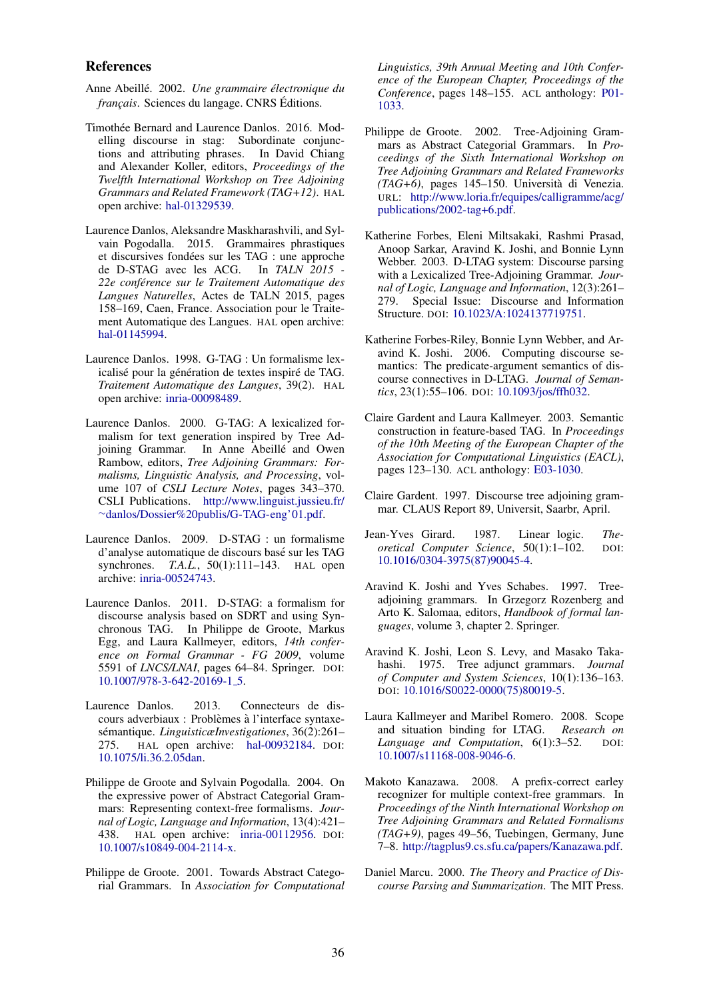#### References

- Anne Abeille. 2002. ´ *Une grammaire electronique du ´ francais.* Sciences du langage. CNRS Éditions.
- Timothée Bernard and Laurence Danlos. 2016. Modelling discourse in stag: Subordinate conjunctions and attributing phrases. In David Chiang and Alexander Koller, editors, *Proceedings of the Twelfth International Workshop on Tree Adjoining Grammars and Related Framework (TAG+12)*. HAL open archive: hal-01329539.
- Laurence Danlos, Aleksandre Maskharashvili, and Sylvain Pogodalla. 2015. Grammaires phrastiques et discursives fondees sur les TAG : une approche ´ de D-STAG avec les ACG. In *TALN 2015 - 22e conference sur le Traitement Automatique des ´ Langues Naturelles*, Actes de TALN 2015, pages 158–169, Caen, France. Association pour le Traitement Automatique des Langues. HAL open archive: hal-01145994.
- Laurence Danlos. 1998. G-TAG : Un formalisme lexicalisé pour la génération de textes inspiré de TAG. *Traitement Automatique des Langues*, 39(2). HAL open archive: inria-00098489.
- Laurence Danlos. 2000. G-TAG: A lexicalized formalism for text generation inspired by Tree Adjoining Grammar. In Anne Abeillé and Owen Rambow, editors, *Tree Adjoining Grammars: Formalisms, Linguistic Analysis, and Processing*, volume 107 of *CSLI Lecture Notes*, pages 343–370. CSLI Publications. http://www.linguist.jussieu.fr/ <sup>∼</sup>danlos/Dossier%20publis/G-TAG-eng'01.pdf.
- Laurence Danlos. 2009. D-STAG : un formalisme d'analyse automatique de discours base sur les TAG ´ synchrones. *T.A.L.*, 50(1):111-143. HAL open archive: inria-00524743.
- Laurence Danlos. 2011. D-STAG: a formalism for discourse analysis based on SDRT and using Synchronous TAG. In Philippe de Groote, Markus Egg, and Laura Kallmeyer, editors, *14th conference on Formal Grammar - FG 2009*, volume 5591 of *LNCS/LNAI*, pages 64–84. Springer. DOI: 10.1007/978-3-642-20169-1 5.
- Laurence Danlos. 2013. Connecteurs de discours adverbiaux : Problèmes à l'interface syntaxesémantique. *LinguisticæInvestigationes*, 36(2):261-275. HAL open archive: hal-00932184. DOI: 10.1075/li.36.2.05dan.
- Philippe de Groote and Sylvain Pogodalla. 2004. On the expressive power of Abstract Categorial Grammars: Representing context-free formalisms. *Journal of Logic, Language and Information*, 13(4):421– 438. HAL open archive: inria-00112956. DOI: 10.1007/s10849-004-2114-x.
- Philippe de Groote. 2001. Towards Abstract Categorial Grammars. In *Association for Computational*

*Linguistics, 39th Annual Meeting and 10th Conference of the European Chapter, Proceedings of the Conference*, pages 148–155. ACL anthology: P01- 1033.

- Philippe de Groote. 2002. Tree-Adjoining Grammars as Abstract Categorial Grammars. In *Proceedings of the Sixth International Workshop on Tree Adjoining Grammars and Related Frameworks (TAG+6)*, pages 145–150. Universita di Venezia. ` URL: http://www.loria.fr/equipes/calligramme/acg/ publications/2002-tag+6.pdf.
- Katherine Forbes, Eleni Miltsakaki, Rashmi Prasad, Anoop Sarkar, Aravind K. Joshi, and Bonnie Lynn Webber. 2003. D-LTAG system: Discourse parsing with a Lexicalized Tree-Adjoining Grammar. *Journal of Logic, Language and Information*, 12(3):261– 279. Special Issue: Discourse and Information Structure. DOI: 10.1023/A:1024137719751.
- Katherine Forbes-Riley, Bonnie Lynn Webber, and Aravind K. Joshi. 2006. Computing discourse semantics: The predicate-argument semantics of discourse connectives in D-LTAG. *Journal of Semantics*, 23(1):55–106. DOI: 10.1093/jos/ffh032.
- Claire Gardent and Laura Kallmeyer. 2003. Semantic construction in feature-based TAG. In *Proceedings of the 10th Meeting of the European Chapter of the Association for Computational Linguistics (EACL)*, pages 123–130. ACL anthology: E03-1030.
- Claire Gardent. 1997. Discourse tree adjoining grammar. CLAUS Report 89, Universit, Saarbr, April.
- Jean-Yves Girard. 1987. Linear logic. *Theoretical Computer Science*, 50(1):1–102. DOI: 10.1016/0304-3975(87)90045-4.
- Aravind K. Joshi and Yves Schabes. 1997. Treeadjoining grammars. In Grzegorz Rozenberg and Arto K. Salomaa, editors, *Handbook of formal languages*, volume 3, chapter 2. Springer.
- Aravind K. Joshi, Leon S. Levy, and Masako Takahashi. 1975. Tree adjunct grammars. *Journal of Computer and System Sciences*, 10(1):136–163. DOI: 10.1016/S0022-0000(75)80019-5.
- Laura Kallmeyer and Maribel Romero. 2008. Scope and situation binding for LTAG. *Research on* Language and Computation, 6(1):3-52. DOI: 10.1007/s11168-008-9046-6.
- Makoto Kanazawa. 2008. A prefix-correct earley recognizer for multiple context-free grammars. In *Proceedings of the Ninth International Workshop on Tree Adjoining Grammars and Related Formalisms (TAG+9)*, pages 49–56, Tuebingen, Germany, June 7–8. http://tagplus9.cs.sfu.ca/papers/Kanazawa.pdf.
- Daniel Marcu. 2000. *The Theory and Practice of Discourse Parsing and Summarization*. The MIT Press.